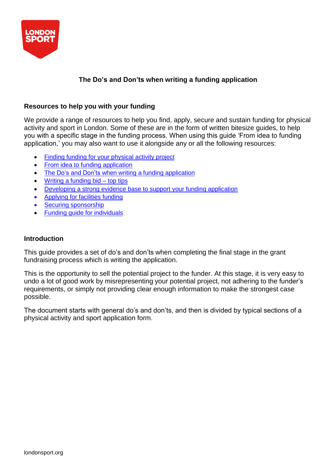

# **The Do's and Don'ts when writing a funding application**

## **Resources to help you with your funding**

We provide a range of resources to help you find, apply, secure and sustain funding for physical activity and sport in London. Some of these are in the form of written bitesize guides, to help you with a specific stage in the funding process. When using this guide 'From idea to funding application,' you may also want to use it alongside any or all the following resources:

- Finding funding for your [physical](https://londonsport.org/search-for-funding/) activity project
- From idea to funding [application](https://londonsport.org/funding-support/)
- The Do's and Don'ts when writing a funding [application](https://londonsport.org/funding-support/)
- Writing a [funding](https://londonsport.org/funding-bids/) bid top tips
- [Developing a](https://londonsport.org/funding-support/) strong evidence base to support your funding application
- [Applying](https://londonsport.org/funding-support/) for facilities funding
- Securing [sponsorship](https://londonsport.org/funding-support/)
- Funding guide for [individuals](https://londonsport.org/funding-support/)

#### **Introduction**

This guide provides a set of do's and don'ts when completing the final stage in the grant fundraising process which is writing the application.

This is the opportunity to sell the potential project to the funder. At this stage, it is very easy to undo a lot of good work by misrepresenting your potential project, not adhering to the funder's requirements, or simply not providing clear enough information to make the strongest case possible.

The document starts with general do's and don'ts, and then is divided by typical sections of a physical activity and sport application form.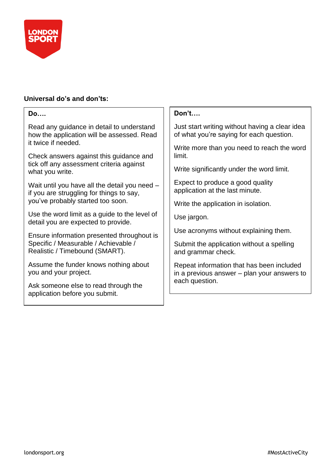

# **Universal do's and don'ts:**

| Don't                                                                                      |
|--------------------------------------------------------------------------------------------|
| Just start writing without having a clear idea<br>of what you're saying for each question. |
| Write more than you need to reach the word<br>limit.                                       |
| Write significantly under the word limit.                                                  |
| Expect to produce a good quality<br>application at the last minute.                        |
| Write the application in isolation.                                                        |
| Use jargon.                                                                                |
| Use acronyms without explaining them.                                                      |
| Submit the application without a spelling<br>and grammar check.                            |
| Repeat information that has been included<br>in a previous answer – plan your answers to   |
| each question.                                                                             |
|                                                                                            |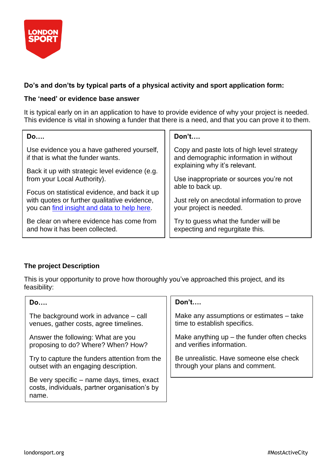

## **Do's and don'ts by typical parts of a physical activity and sport application form:**

#### **The 'need' or evidence base answer**

It is typical early on in an application to have to provide evidence of why your project is needed. This evidence is vital in showing a funder that there is a need, and that you can prove it to them.

| Do                                                                                                                                           | Don't                                                                                                                 |
|----------------------------------------------------------------------------------------------------------------------------------------------|-----------------------------------------------------------------------------------------------------------------------|
| Use evidence you a have gathered yourself,<br>if that is what the funder wants.                                                              | Copy and paste lots of high level strategy<br>and demographic information in without<br>explaining why it's relevant. |
| Back it up with strategic level evidence (e.g.<br>from your Local Authority).                                                                | Use inappropriate or sources you're not<br>able to back up.                                                           |
| Focus on statistical evidence, and back it up<br>with quotes or further qualitative evidence,<br>you can find insight and data to help here. | Just rely on anecdotal information to prove<br>your project is needed.                                                |
| Be clear on where evidence has come from                                                                                                     | Try to guess what the funder will be                                                                                  |
| and how it has been collected.                                                                                                               | expecting and regurgitate this.                                                                                       |

## **The project Description**

This is your opportunity to prove how thoroughly you've approached this project, and its feasibility:

| Do                                                                                                   | Don't                                        |
|------------------------------------------------------------------------------------------------------|----------------------------------------------|
| The background work in advance $-$ call                                                              | Make any assumptions or estimates – take     |
| venues, gather costs, agree timelines.                                                               | time to establish specifics.                 |
| Answer the following: What are you                                                                   | Make anything $up$ – the funder often checks |
| proposing to do? Where? When? How?                                                                   | and verifies information.                    |
| Try to capture the funders attention from the                                                        | Be unrealistic. Have someone else check      |
| outset with an engaging description.                                                                 | through your plans and comment.              |
| Be very specific - name days, times, exact<br>costs, individuals, partner organisation's by<br>name. |                                              |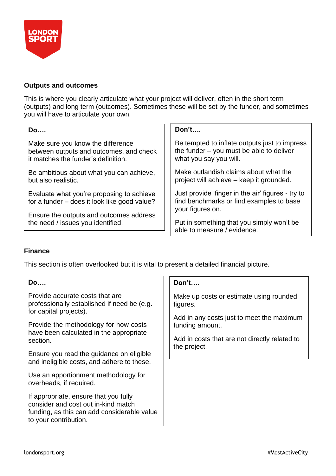

#### **Outputs and outcomes**

This is where you clearly articulate what your project will deliver, often in the short term (outputs) and long term (outcomes). Sometimes these will be set by the funder, and sometimes you will have to articulate your own.

| <b>Do</b>                                                                                 | Don't                                                                                                             |
|-------------------------------------------------------------------------------------------|-------------------------------------------------------------------------------------------------------------------|
| Make sure you know the difference                                                         | Be tempted to inflate outputs just to impress                                                                     |
| between outputs and outcomes, and check                                                   | the funder - you must be able to deliver                                                                          |
| it matches the funder's definition.                                                       | what you say you will.                                                                                            |
| Be ambitious about what you can achieve,                                                  | Make outlandish claims about what the                                                                             |
| but also realistic.                                                                       | project will achieve – keep it grounded.                                                                          |
| Evaluate what you're proposing to achieve<br>for a funder – does it look like good value? | Just provide 'finger in the air' figures - try to<br>find benchmarks or find examples to base<br>your figures on. |
| Ensure the outputs and outcomes address                                                   | Put in something that you simply won't be                                                                         |
| the need / issues you identified.                                                         | able to measure / evidence.                                                                                       |

#### **Finance**

This section is often overlooked but it is vital to present a detailed financial picture.

| <b>Do</b>                                                                                                                                            | Don't                                                        |
|------------------------------------------------------------------------------------------------------------------------------------------------------|--------------------------------------------------------------|
| Provide accurate costs that are<br>professionally established if need be (e.g.<br>for capital projects).                                             | Make up costs or estimate using rounded<br>figures.          |
| Provide the methodology for how costs<br>have been calculated in the appropriate                                                                     | Add in any costs just to meet the maximum<br>funding amount. |
| section.                                                                                                                                             | Add in costs that are not directly related to                |
| Ensure you read the guidance on eligible<br>and ineligible costs, and adhere to these.                                                               | the project.                                                 |
| Use an apportionment methodology for<br>overheads, if required.                                                                                      |                                                              |
| If appropriate, ensure that you fully<br>consider and cost out in-kind match<br>funding, as this can add considerable value<br>to your contribution. |                                                              |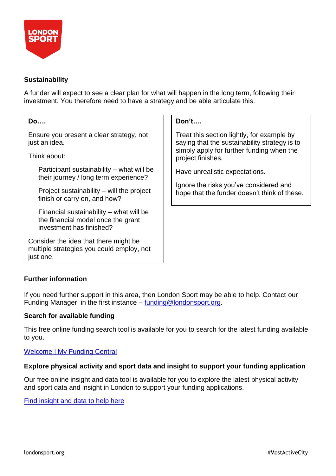

#### **Sustainability**

A funder will expect to see a clear plan for what will happen in the long term, following their investment. You therefore need to have a strategy and be able articulate this.

| <b>Do</b>                                                                                                 | Don't                                                                                                                                                         |
|-----------------------------------------------------------------------------------------------------------|---------------------------------------------------------------------------------------------------------------------------------------------------------------|
| Ensure you present a clear strategy, not<br>just an idea.                                                 | Treat this section lightly, for example by<br>saying that the sustainability strategy is to<br>simply apply for further funding when the<br>project finishes. |
| Think about:                                                                                              |                                                                                                                                                               |
| Participant sustainability - what will be<br>their journey / long term experience?                        | Have unrealistic expectations.                                                                                                                                |
| Project sustainability $-$ will the project<br>finish or carry on, and how?                               | Ignore the risks you've considered and<br>hope that the funder doesn't think of these.                                                                        |
| Financial sustainability – what will be<br>the financial model once the grant<br>investment has finished? |                                                                                                                                                               |
| Consider the idea that there might be<br>multiple strategies you could employ, not<br>just one.           |                                                                                                                                                               |

## **Further information**

If you need further support in this area, then London Sport may be able to help. Contact our Funding Manager, in the first instance – [funding@londonsport.org.](mailto:funding@londonsport.org)

## **Search for available funding**

This free online funding search tool is available for you to search for the latest funding available to you.

#### [Welcome | My Funding Central](https://www.myfundingcentral.co.uk/)

#### **Explore physical activity and sport data and insight to support your funding application**

Our free online insight and data tool is available for you to explore the latest physical activity and sport data and insight in London to support your funding applications.

Find [insight](https://data.londonsport.org/) and data to help here